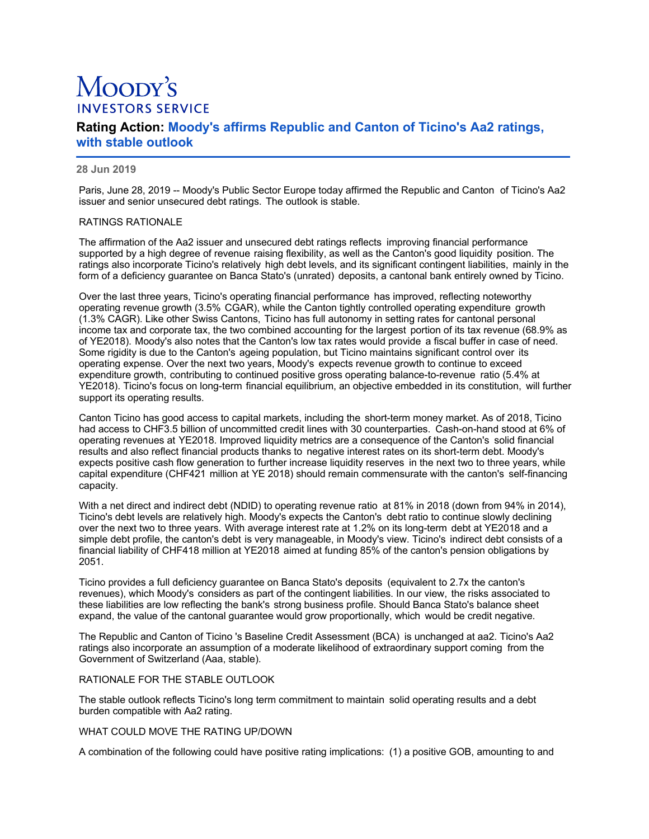# Moopy's **INVESTORS SERVICE**

# **Rating Action: Moody's affirms Republic and Canton of Ticino's Aa2 ratings, with stable outlook**

## **28 Jun 2019**

Paris, June 28, 2019 -- Moody's Public Sector Europe today affirmed the Republic and Canton of Ticino's Aa2 issuer and senior unsecured debt ratings. The outlook is stable.

#### RATINGS RATIONALE

The affirmation of the Aa2 issuer and unsecured debt ratings reflects improving financial performance supported by a high degree of revenue raising flexibility, as well as the Canton's good liquidity position. The ratings also incorporate Ticino's relatively high debt levels, and its significant contingent liabilities, mainly in the form of a deficiency guarantee on Banca Stato's (unrated) deposits, a cantonal bank entirely owned by Ticino.

Over the last three years, Ticino's operating financial performance has improved, reflecting noteworthy operating revenue growth (3.5% CGAR), while the Canton tightly controlled operating expenditure growth (1.3% CAGR). Like other Swiss Cantons, Ticino has full autonomy in setting rates for cantonal personal income tax and corporate tax, the two combined accounting for the largest portion of its tax revenue (68.9% as of YE2018). Moody's also notes that the Canton's low tax rates would provide a fiscal buffer in case of need. Some rigidity is due to the Canton's ageing population, but Ticino maintains significant control over its operating expense. Over the next two years, Moody's expects revenue growth to continue to exceed expenditure growth, contributing to continued positive gross operating balance-to-revenue ratio (5.4% at YE2018). Ticino's focus on long-term financial equilibrium, an objective embedded in its constitution, will further support its operating results.

Canton Ticino has good access to capital markets, including the short-term money market. As of 2018, Ticino had access to CHF3.5 billion of uncommitted credit lines with 30 counterparties. Cash-on-hand stood at 6% of operating revenues at YE2018. Improved liquidity metrics are a consequence of the Canton's solid financial results and also reflect financial products thanks to negative interest rates on its short-term debt. Moody's expects positive cash flow generation to further increase liquidity reserves in the next two to three years, while capital expenditure (CHF421 million at YE 2018) should remain commensurate with the canton's self-financing capacity.

With a net direct and indirect debt (NDID) to operating revenue ratio at 81% in 2018 (down from 94% in 2014), Ticino's debt levels are relatively high. Moody's expects the Canton's debt ratio to continue slowly declining over the next two to three years. With average interest rate at 1.2% on its long-term debt at YE2018 and a simple debt profile, the canton's debt is very manageable, in Moody's view. Ticino's indirect debt consists of a financial liability of CHF418 million at YE2018 aimed at funding 85% of the canton's pension obligations by 2051.

Ticino provides a full deficiency guarantee on Banca Stato's deposits (equivalent to 2.7x the canton's revenues), which Moody's considers as part of the contingent liabilities. In our view, the risks associated to these liabilities are low reflecting the bank's strong business profile. Should Banca Stato's balance sheet expand, the value of the cantonal guarantee would grow proportionally, which would be credit negative.

The Republic and Canton of Ticino 's Baseline Credit Assessment (BCA) is unchanged at aa2. Ticino's Aa2 ratings also incorporate an assumption of a moderate likelihood of extraordinary support coming from the Government of Switzerland (Aaa, stable).

#### RATIONALE FOR THE STABLE OUTLOOK

The stable outlook reflects Ticino's long term commitment to maintain solid operating results and a debt burden compatible with Aa2 rating.

#### WHAT COULD MOVE THE RATING UP/DOWN

A combination of the following could have positive rating implications: (1) a positive GOB, amounting to and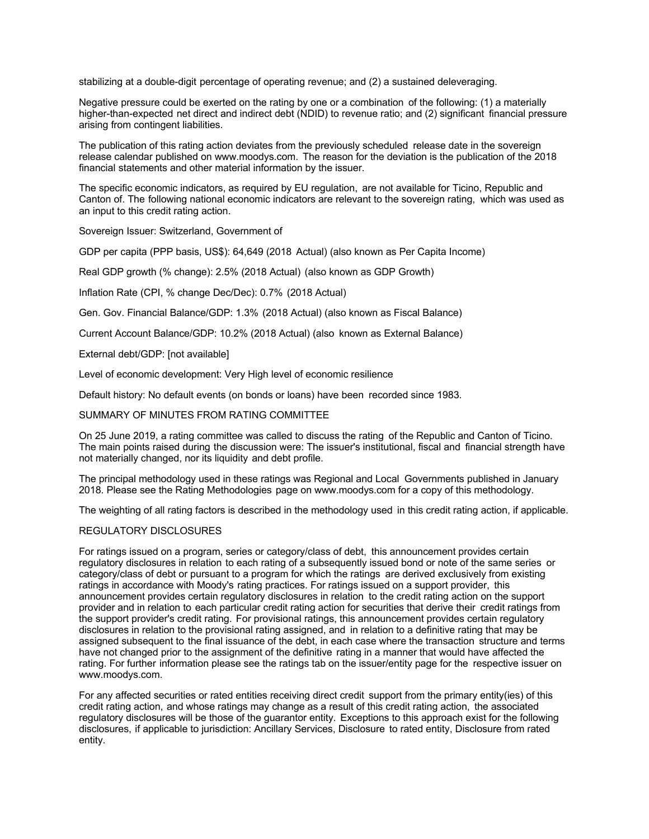stabilizing at a double-digit percentage of operating revenue; and (2) a sustained deleveraging.

Negative pressure could be exerted on the rating by one or a combination of the following: (1) a materially higher-than-expected net direct and indirect debt (NDID) to revenue ratio; and (2) significant financial pressure arising from contingent liabilities.

The publication of this rating action deviates from the previously scheduled release date in the sovereign release calendar published on www.moodys.com. The reason for the deviation is the publication of the 2018 financial statements and other material information by the issuer.

The specific economic indicators, as required by EU regulation, are not available for Ticino, Republic and Canton of. The following national economic indicators are relevant to the sovereign rating, which was used as an input to this credit rating action.

Sovereign Issuer: Switzerland, Government of

GDP per capita (PPP basis, US\$): 64,649 (2018 Actual) (also known as Per Capita Income)

Real GDP growth (% change): 2.5% (2018 Actual) (also known as GDP Growth)

Inflation Rate (CPI, % change Dec/Dec): 0.7% (2018 Actual)

Gen. Gov. Financial Balance/GDP: 1.3% (2018 Actual) (also known as Fiscal Balance)

Current Account Balance/GDP: 10.2% (2018 Actual) (also known as External Balance)

External debt/GDP: [not available]

Level of economic development: Very High level of economic resilience

Default history: No default events (on bonds or loans) have been recorded since 1983.

#### SUMMARY OF MINUTES FROM RATING COMMITTEE

On 25 June 2019, a rating committee was called to discuss the rating of the Republic and Canton of Ticino. The main points raised during the discussion were: The issuer's institutional, fiscal and financial strength have not materially changed, nor its liquidity and debt profile.

The principal methodology used in these ratings was Regional and Local Governments published in January 2018. Please see the Rating Methodologies page on www.moodys.com for a copy of this methodology.

The weighting of all rating factors is described in the methodology used in this credit rating action, if applicable.

#### REGULATORY DISCLOSURES

For ratings issued on a program, series or category/class of debt, this announcement provides certain regulatory disclosures in relation to each rating of a subsequently issued bond or note of the same series or category/class of debt or pursuant to a program for which the ratings are derived exclusively from existing ratings in accordance with Moody's rating practices. For ratings issued on a support provider, this announcement provides certain regulatory disclosures in relation to the credit rating action on the support provider and in relation to each particular credit rating action for securities that derive their credit ratings from the support provider's credit rating. For provisional ratings, this announcement provides certain regulatory disclosures in relation to the provisional rating assigned, and in relation to a definitive rating that may be assigned subsequent to the final issuance of the debt, in each case where the transaction structure and terms have not changed prior to the assignment of the definitive rating in a manner that would have affected the rating. For further information please see the ratings tab on the issuer/entity page for the respective issuer on www.moodys.com.

For any affected securities or rated entities receiving direct credit support from the primary entity(ies) of this credit rating action, and whose ratings may change as a result of this credit rating action, the associated regulatory disclosures will be those of the guarantor entity. Exceptions to this approach exist for the following disclosures, if applicable to jurisdiction: Ancillary Services, Disclosure to rated entity, Disclosure from rated entity.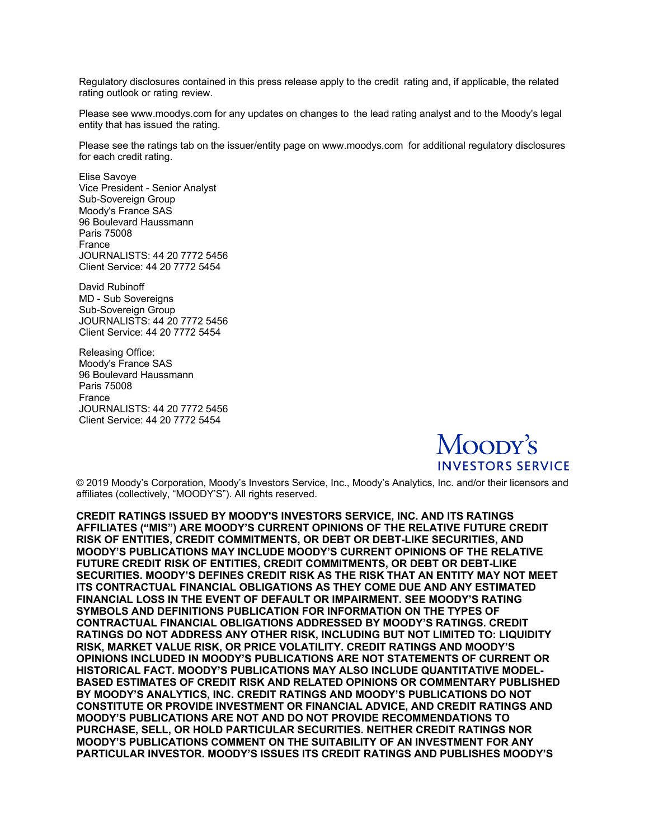Regulatory disclosures contained in this press release apply to the credit rating and, if applicable, the related rating outlook or rating review.

Please see www.moodys.com for any updates on changes to the lead rating analyst and to the Moody's legal entity that has issued the rating.

Please see the ratings tab on the issuer/entity page on www.moodys.com for additional regulatory disclosures for each credit rating.

Elise Savoye Vice President - Senior Analyst Sub-Sovereign Group Moody's France SAS 96 Boulevard Haussmann Paris 75008 France JOURNALISTS: 44 20 7772 5456 Client Service: 44 20 7772 5454

David Rubinoff MD - Sub Sovereigns Sub-Sovereign Group JOURNALISTS: 44 20 7772 5456 Client Service: 44 20 7772 5454

Releasing Office: Moody's France SAS 96 Boulevard Haussmann Paris 75008 France JOURNALISTS: 44 20 7772 5456 Client Service: 44 20 7772 5454



© 2019 Moody's Corporation, Moody's Investors Service, Inc., Moody's Analytics, Inc. and/or their licensors and affiliates (collectively, "MOODY'S"). All rights reserved.

**CREDIT RATINGS ISSUED BY MOODY'S INVESTORS SERVICE, INC. AND ITS RATINGS AFFILIATES ("MIS") ARE MOODY'S CURRENT OPINIONS OF THE RELATIVE FUTURE CREDIT RISK OF ENTITIES, CREDIT COMMITMENTS, OR DEBT OR DEBT-LIKE SECURITIES, AND MOODY'S PUBLICATIONS MAY INCLUDE MOODY'S CURRENT OPINIONS OF THE RELATIVE FUTURE CREDIT RISK OF ENTITIES, CREDIT COMMITMENTS, OR DEBT OR DEBT-LIKE SECURITIES. MOODY'S DEFINES CREDIT RISK AS THE RISK THAT AN ENTITY MAY NOT MEET ITS CONTRACTUAL FINANCIAL OBLIGATIONS AS THEY COME DUE AND ANY ESTIMATED FINANCIAL LOSS IN THE EVENT OF DEFAULT OR IMPAIRMENT. SEE MOODY'S RATING SYMBOLS AND DEFINITIONS PUBLICATION FOR INFORMATION ON THE TYPES OF CONTRACTUAL FINANCIAL OBLIGATIONS ADDRESSED BY MOODY'S RATINGS. CREDIT RATINGS DO NOT ADDRESS ANY OTHER RISK, INCLUDING BUT NOT LIMITED TO: LIQUIDITY RISK, MARKET VALUE RISK, OR PRICE VOLATILITY. CREDIT RATINGS AND MOODY'S OPINIONS INCLUDED IN MOODY'S PUBLICATIONS ARE NOT STATEMENTS OF CURRENT OR HISTORICAL FACT. MOODY'S PUBLICATIONS MAY ALSO INCLUDE QUANTITATIVE MODEL-BASED ESTIMATES OF CREDIT RISK AND RELATED OPINIONS OR COMMENTARY PUBLISHED BY MOODY'S ANALYTICS, INC. CREDIT RATINGS AND MOODY'S PUBLICATIONS DO NOT CONSTITUTE OR PROVIDE INVESTMENT OR FINANCIAL ADVICE, AND CREDIT RATINGS AND MOODY'S PUBLICATIONS ARE NOT AND DO NOT PROVIDE RECOMMENDATIONS TO PURCHASE, SELL, OR HOLD PARTICULAR SECURITIES. NEITHER CREDIT RATINGS NOR MOODY'S PUBLICATIONS COMMENT ON THE SUITABILITY OF AN INVESTMENT FOR ANY PARTICULAR INVESTOR. MOODY'S ISSUES ITS CREDIT RATINGS AND PUBLISHES MOODY'S**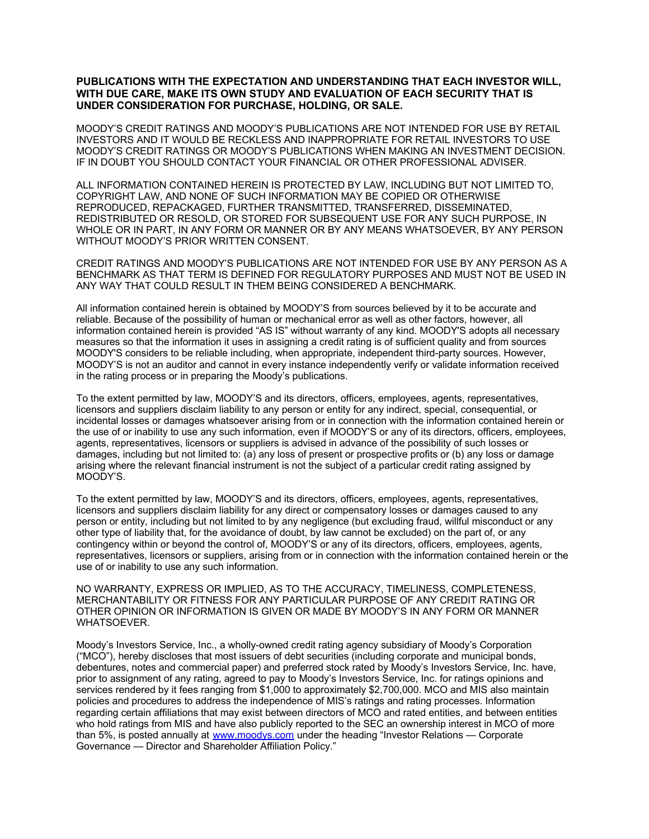## **PUBLICATIONS WITH THE EXPECTATION AND UNDERSTANDING THAT EACH INVESTOR WILL, WITH DUE CARE, MAKE ITS OWN STUDY AND EVALUATION OF EACH SECURITY THAT IS UNDER CONSIDERATION FOR PURCHASE, HOLDING, OR SALE.**

MOODY'S CREDIT RATINGS AND MOODY'S PUBLICATIONS ARE NOT INTENDED FOR USE BY RETAIL INVESTORS AND IT WOULD BE RECKLESS AND INAPPROPRIATE FOR RETAIL INVESTORS TO USE MOODY'S CREDIT RATINGS OR MOODY'S PUBLICATIONS WHEN MAKING AN INVESTMENT DECISION. IF IN DOUBT YOU SHOULD CONTACT YOUR FINANCIAL OR OTHER PROFESSIONAL ADVISER.

ALL INFORMATION CONTAINED HEREIN IS PROTECTED BY LAW, INCLUDING BUT NOT LIMITED TO, COPYRIGHT LAW, AND NONE OF SUCH INFORMATION MAY BE COPIED OR OTHERWISE REPRODUCED, REPACKAGED, FURTHER TRANSMITTED, TRANSFERRED, DISSEMINATED, REDISTRIBUTED OR RESOLD, OR STORED FOR SUBSEQUENT USE FOR ANY SUCH PURPOSE, IN WHOLE OR IN PART, IN ANY FORM OR MANNER OR BY ANY MEANS WHATSOEVER, BY ANY PERSON WITHOUT MOODY'S PRIOR WRITTEN CONSENT.

CREDIT RATINGS AND MOODY'S PUBLICATIONS ARE NOT INTENDED FOR USE BY ANY PERSON AS A BENCHMARK AS THAT TERM IS DEFINED FOR REGULATORY PURPOSES AND MUST NOT BE USED IN ANY WAY THAT COULD RESULT IN THEM BEING CONSIDERED A BENCHMARK.

All information contained herein is obtained by MOODY'S from sources believed by it to be accurate and reliable. Because of the possibility of human or mechanical error as well as other factors, however, all information contained herein is provided "AS IS" without warranty of any kind. MOODY'S adopts all necessary measures so that the information it uses in assigning a credit rating is of sufficient quality and from sources MOODY'S considers to be reliable including, when appropriate, independent third-party sources. However, MOODY'S is not an auditor and cannot in every instance independently verify or validate information received in the rating process or in preparing the Moody's publications.

To the extent permitted by law, MOODY'S and its directors, officers, employees, agents, representatives, licensors and suppliers disclaim liability to any person or entity for any indirect, special, consequential, or incidental losses or damages whatsoever arising from or in connection with the information contained herein or the use of or inability to use any such information, even if MOODY'S or any of its directors, officers, employees, agents, representatives, licensors or suppliers is advised in advance of the possibility of such losses or damages, including but not limited to: (a) any loss of present or prospective profits or (b) any loss or damage arising where the relevant financial instrument is not the subject of a particular credit rating assigned by MOODY'S.

To the extent permitted by law, MOODY'S and its directors, officers, employees, agents, representatives, licensors and suppliers disclaim liability for any direct or compensatory losses or damages caused to any person or entity, including but not limited to by any negligence (but excluding fraud, willful misconduct or any other type of liability that, for the avoidance of doubt, by law cannot be excluded) on the part of, or any contingency within or beyond the control of, MOODY'S or any of its directors, officers, employees, agents, representatives, licensors or suppliers, arising from or in connection with the information contained herein or the use of or inability to use any such information.

NO WARRANTY, EXPRESS OR IMPLIED, AS TO THE ACCURACY, TIMELINESS, COMPLETENESS, MERCHANTABILITY OR FITNESS FOR ANY PARTICULAR PURPOSE OF ANY CREDIT RATING OR OTHER OPINION OR INFORMATION IS GIVEN OR MADE BY MOODY'S IN ANY FORM OR MANNER WHATSOEVER.

Moody's Investors Service, Inc., a wholly-owned credit rating agency subsidiary of Moody's Corporation ("MCO"), hereby discloses that most issuers of debt securities (including corporate and municipal bonds, debentures, notes and commercial paper) and preferred stock rated by Moody's Investors Service, Inc. have, prior to assignment of any rating, agreed to pay to Moody's Investors Service, Inc. for ratings opinions and services rendered by it fees ranging from \$1,000 to approximately \$2,700,000. MCO and MIS also maintain policies and procedures to address the independence of MIS's ratings and rating processes. Information regarding certain affiliations that may exist between directors of MCO and rated entities, and between entities who hold ratings from MIS and have also publicly reported to the SEC an ownership interest in MCO of more than 5%, is posted annually at [www.moodys.com](https://www.moodys.com/Lists/MiscellaneousConfigurations/EditForm.aspx?ID=6&ContentTypeId=0x01003E2E20872FDB40ECB271C1AE14084ACD00A1FDA31ED080364EBCA76C38EFA23D88&IsDlg=1) under the heading "Investor Relations — Corporate Governance — Director and Shareholder Affiliation Policy."